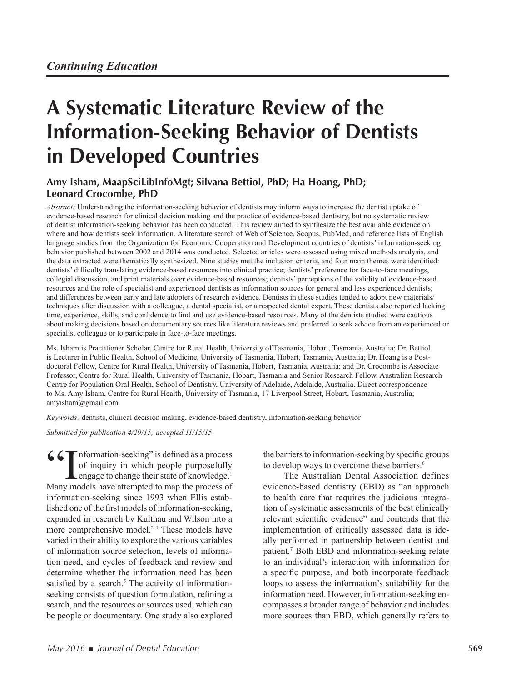# **A Systematic Literature Review of the Information-Seeking Behavior of Dentists in Developed Countries**

#### **Amy Isham, MaapSciLibInfoMgt; Silvana Bettiol, PhD; Ha Hoang, PhD; Leonard Crocombe, PhD**

*Abstract:* Understanding the information-seeking behavior of dentists may inform ways to increase the dentist uptake of evidence-based research for clinical decision making and the practice of evidence-based dentistry, but no systematic review of dentist information-seeking behavior has been conducted. This review aimed to synthesize the best available evidence on where and how dentists seek information. A literature search of Web of Science, Scopus, PubMed, and reference lists of English language studies from the Organization for Economic Cooperation and Development countries of dentists' information-seeking behavior published between 2002 and 2014 was conducted. Selected articles were assessed using mixed methods analysis, and the data extracted were thematically synthesized. Nine studies met the inclusion criteria, and four main themes were identified: dentists' difficulty translating evidence-based resources into clinical practice; dentists' preference for face-to-face meetings, collegial discussion, and print materials over evidence-based resources; dentists' perceptions of the validity of evidence-based resources and the role of specialist and experienced dentists as information sources for general and less experienced dentists; and differences between early and late adopters of research evidence. Dentists in these studies tended to adopt new materials/ techniques after discussion with a colleague, a dental specialist, or a respected dental expert. These dentists also reported lacking time, experience, skills, and confidence to find and use evidence-based resources. Many of the dentists studied were cautious about making decisions based on documentary sources like literature reviews and preferred to seek advice from an experienced or specialist colleague or to participate in face-to-face meetings.

Ms. Isham is Practitioner Scholar, Centre for Rural Health, University of Tasmania, Hobart, Tasmania, Australia; Dr. Bettiol is Lecturer in Public Health, School of Medicine, University of Tasmania, Hobart, Tasmania, Australia; Dr. Hoang is a Postdoctoral Fellow, Centre for Rural Health, University of Tasmania, Hobart, Tasmania, Australia; and Dr. Crocombe is Associate Professor, Centre for Rural Health, University of Tasmania, Hobart, Tasmania and Senior Research Fellow, Australian Research Centre for Population Oral Health, School of Dentistry, University of Adelaide, Adelaide, Australia. Direct correspondence to Ms. Amy Isham, Centre for Rural Health, University of Tasmania, 17 Liverpool Street, Hobart, Tasmania, Australia; amyisham@gmail.com.

*Keywords:* dentists, clinical decision making, evidence-based dentistry, information-seeking behavior

*Submitted for publication 4/29/15; accepted 11/15/15*

**6 Complementary** is defined as a process of inquiry in which people purposefully engage to change their state of knowledge.<sup>1</sup><br>Many models have attempted to man the process of of inquiry in which people purposefully engage to change their state of knowledge.<sup>1</sup> Many models have attempted to map the process of information-seeking since 1993 when Ellis established one of the first models of information-seeking, expanded in research by Kulthau and Wilson into a more comprehensive model.<sup>2-4</sup> These models have varied in their ability to explore the various variables of information source selection, levels of information need, and cycles of feedback and review and determine whether the information need has been satisfied by a search.<sup>5</sup> The activity of informationseeking consists of question formulation, refining a search, and the resources or sources used, which can be people or documentary. One study also explored

the barriers to information-seeking by specific groups to develop ways to overcome these barriers.<sup>6</sup>

The Australian Dental Association defines evidence-based dentistry (EBD) as "an approach to health care that requires the judicious integration of systematic assessments of the best clinically relevant scientific evidence" and contends that the implementation of critically assessed data is ideally performed in partnership between dentist and patient.7 Both EBD and information-seeking relate to an individual's interaction with information for a specific purpose, and both incorporate feedback loops to assess the information's suitability for the information need. However, information-seeking encompasses a broader range of behavior and includes more sources than EBD, which generally refers to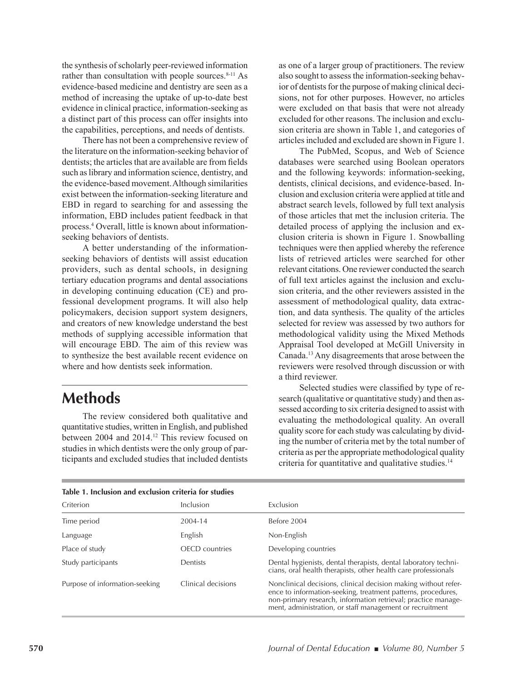the synthesis of scholarly peer-reviewed information rather than consultation with people sources.<sup>8-11</sup> As evidence-based medicine and dentistry are seen as a method of increasing the uptake of up-to-date best evidence in clinical practice, information-seeking as a distinct part of this process can offer insights into the capabilities, perceptions, and needs of dentists.

There has not been a comprehensive review of the literature on the information-seeking behavior of dentists; the articles that are available are from fields such as library and information science, dentistry, and the evidence-based movement.Although similarities exist between the information-seeking literature and EBD in regard to searching for and assessing the information, EBD includes patient feedback in that process.4 Overall, little is known about informationseeking behaviors of dentists.

A better understanding of the informationseeking behaviors of dentists will assist education providers, such as dental schools, in designing tertiary education programs and dental associations in developing continuing education (CE) and professional development programs. It will also help policymakers, decision support system designers, and creators of new knowledge understand the best methods of supplying accessible information that will encourage EBD. The aim of this review was to synthesize the best available recent evidence on where and how dentists seek information.

# **Methods**

The review considered both qualitative and quantitative studies, written in English, and published between 2004 and 2014.12 This review focused on studies in which dentists were the only group of participants and excluded studies that included dentists

as one of a larger group of practitioners. The review also sought to assess the information-seeking behavior of dentists for the purpose of making clinical decisions, not for other purposes. However, no articles were excluded on that basis that were not already excluded for other reasons. The inclusion and exclusion criteria are shown in Table 1, and categories of articles included and excluded are shown in Figure 1.

The PubMed, Scopus, and Web of Science databases were searched using Boolean operators and the following keywords: information-seeking, dentists, clinical decisions, and evidence-based. Inclusion and exclusion criteria were applied at title and abstract search levels, followed by full text analysis of those articles that met the inclusion criteria. The detailed process of applying the inclusion and exclusion criteria is shown in Figure 1. Snowballing techniques were then applied whereby the reference lists of retrieved articles were searched for other relevant citations. One reviewer conducted the search of full text articles against the inclusion and exclusion criteria, and the other reviewers assisted in the assessment of methodological quality, data extraction, and data synthesis. The quality of the articles selected for review was assessed by two authors for methodological validity using the Mixed Methods Appraisal Tool developed at McGill University in Canada.13 Any disagreements that arose between the reviewers were resolved through discussion or with a third reviewer.

Selected studies were classified by type of research (qualitative or quantitative study) and then assessed according to six criteria designed to assist with evaluating the methodological quality. An overall quality score for each study was calculating by dividing the number of criteria met by the total number of criteria as per the appropriate methodological quality criteria for quantitative and qualitative studies.<sup>14</sup>

| Table T. Inclusion and exclusion criteria for studies |                       |                                                                                                                                                                                                                                                             |  |  |  |  |
|-------------------------------------------------------|-----------------------|-------------------------------------------------------------------------------------------------------------------------------------------------------------------------------------------------------------------------------------------------------------|--|--|--|--|
| Criterion                                             | Inclusion             | Exclusion                                                                                                                                                                                                                                                   |  |  |  |  |
| Time period                                           | 2004-14               | Before 2004                                                                                                                                                                                                                                                 |  |  |  |  |
| Language                                              | English               | Non-English                                                                                                                                                                                                                                                 |  |  |  |  |
| Place of study                                        | <b>OECD</b> countries | Developing countries                                                                                                                                                                                                                                        |  |  |  |  |
| Study participants                                    | Dentists              | Dental hygienists, dental therapists, dental laboratory techni-<br>cians, oral health therapists, other health care professionals                                                                                                                           |  |  |  |  |
| Purpose of information-seeking                        | Clinical decisions    | Nonclinical decisions, clinical decision making without refer-<br>ence to information-seeking, treatment patterns, procedures,<br>non-primary research, information retrieval; practice manage-<br>ment, administration, or staff management or recruitment |  |  |  |  |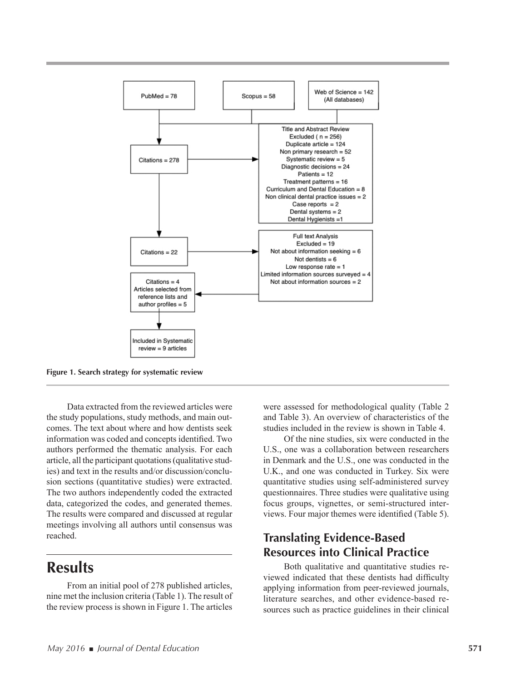

**Figure 1. Search strategy for systematic review**

Data extracted from the reviewed articles were the study populations, study methods, and main outcomes. The text about where and how dentists seek information was coded and concepts identified. Two authors performed the thematic analysis. For each article, all the participant quotations (qualitative studies) and text in the results and/or discussion/conclusion sections (quantitative studies) were extracted. The two authors independently coded the extracted data, categorized the codes, and generated themes. The results were compared and discussed at regular meetings involving all authors until consensus was reached.

## **Results**

From an initial pool of 278 published articles, nine met the inclusion criteria (Table 1). The result of the review process is shown in Figure 1. The articles

were assessed for methodological quality (Table 2 and Table 3). An overview of characteristics of the studies included in the review is shown in Table 4.

Of the nine studies, six were conducted in the U.S., one was a collaboration between researchers in Denmark and the U.S., one was conducted in the U.K., and one was conducted in Turkey. Six were quantitative studies using self-administered survey questionnaires. Three studies were qualitative using focus groups, vignettes, or semi-structured interviews. Four major themes were identified (Table 5).

## **Translating Evidence-Based Resources into Clinical Practice**

Both qualitative and quantitative studies reviewed indicated that these dentists had difficulty applying information from peer-reviewed journals, literature searches, and other evidence-based resources such as practice guidelines in their clinical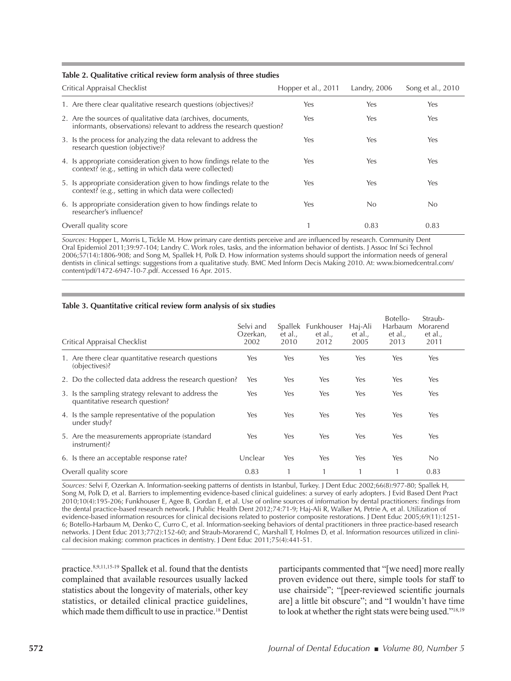| Critical Appraisal Checklist                                                                                                         | Hopper et al., 2011 | Landry, 2006 | Song et al., 2010 |
|--------------------------------------------------------------------------------------------------------------------------------------|---------------------|--------------|-------------------|
| 1. Are there clear qualitative research questions (objectives)?                                                                      | Yes                 | Yes          | Yes               |
| 2. Are the sources of qualitative data (archives, documents,<br>informants, observations) relevant to address the research question? | Yes                 | Yes          | Yes               |
| 3. Is the process for analyzing the data relevant to address the<br>research question (objective)?                                   | Yes                 | Yes          | Yes               |
| 4. Is appropriate consideration given to how findings relate to the<br>context? (e.g., setting in which data were collected)         | Yes                 | Yes          | Yes               |
| 5. Is appropriate consideration given to how findings relate to the<br>context? (e.g., setting in which data were collected)         | Yes                 | Yes          | Yes               |
| 6. Is appropriate consideration given to how findings relate to<br>researcher's influence?                                           | Yes                 | No           | No.               |
| Overall quality score                                                                                                                |                     | 0.83         | 0.83              |

*Sources:* Hopper L, Morris L, Tickle M. How primary care dentists perceive and are influenced by research. Community Dent Oral Epidemiol 2011;39:97-104; Landry C. Work roles, tasks, and the information behavior of dentists. J Assoc Inf Sci Technol 2006;57(14):1806-908; and Song M, Spallek H, Polk D. How information systems should support the information needs of general dentists in clinical settings: suggestions from a qualitative study. BMC Med Inform Decis Making 2010. At: www.biomedcentral.com/ content/pdf/1472-6947-10-7.pdf. Accessed 16 Apr. 2015.

#### **Table 3. Quantitative critical review form analysis of six studies**

| Critical Appraisal Checklist                                                           | Selvi and<br>Ozerkan,<br>2002 | et al.,<br>2010 | Spallek Funkhouser<br>et al.,<br>2012 | Haj-Ali<br>et al.,<br>2005 | Botello-<br>Harbaum<br>et al.,<br>2013 | Straub-<br>Morarend<br>et al.,<br>2011 |  |
|----------------------------------------------------------------------------------------|-------------------------------|-----------------|---------------------------------------|----------------------------|----------------------------------------|----------------------------------------|--|
| 1. Are there clear quantitative research questions<br>(objectives)?                    | Yes                           | Yes             | Yes                                   | Yes                        | Yes                                    | Yes                                    |  |
| 2. Do the collected data address the research question?                                | Yes                           | Yes             | Yes                                   | Yes                        | Yes                                    | Yes                                    |  |
| 3. Is the sampling strategy relevant to address the<br>quantitative research question? | Yes                           | Yes             | Yes                                   | Yes                        | Yes                                    | Yes                                    |  |
| 4. Is the sample representative of the population<br>under study?                      | Yes                           | Yes             | Yes                                   | Yes                        | Yes                                    | Yes                                    |  |
| 5. Are the measurements appropriate (standard<br>instrument)?                          | Yes                           | Yes             | Yes                                   | Yes                        | Yes                                    | Yes                                    |  |
| 6. Is there an acceptable response rate?                                               | Unclear                       | Yes             | Yes                                   | Yes                        | Yes                                    | N <sub>0</sub>                         |  |
| Overall quality score                                                                  | 0.83                          |                 |                                       |                            | 1                                      | 0.83                                   |  |

*Sources:* Selvi F, Ozerkan A. Information-seeking patterns of dentists in Istanbul, Turkey. J Dent Educ 2002;66(8):977-80; Spallek H, Song M, Polk D, et al. Barriers to implementing evidence-based clinical guidelines: a survey of early adopters. J Evid Based Dent Pract 2010;10(4):195-206; Funkhouser E, Agee B, Gordan E, et al. Use of online sources of information by dental practitioners: findings from the dental practice-based research network. J Public Health Dent 2012;74:71-9; Haj-Ali R, Walker M, Petrie A, et al. Utilization of evidence-based information resources for clinical decisions related to posterior composite restorations. J Dent Educ 2005;69(11):1251- 6; Botello-Harbaum M, Denko C, Curro C, et al. Information-seeking behaviors of dental practitioners in three practice-based research networks. J Dent Educ 2013;77(2):152-60; and Straub-Morarend C, Marshall T, Holmes D, et al. Information resources utilized in clinical decision making: common practices in dentistry. J Dent Educ 2011;75(4):441-51.

practice.8,9,11,15-19 Spallek et al. found that the dentists complained that available resources usually lacked statistics about the longevity of materials, other key statistics, or detailed clinical practice guidelines, which made them difficult to use in practice.18 Dentist

participants commented that "[we need] more really proven evidence out there, simple tools for staff to use chairside"; "[peer-reviewed scientific journals are] a little bit obscure"; and "I wouldn't have time to look at whether the right stats were being used."18,19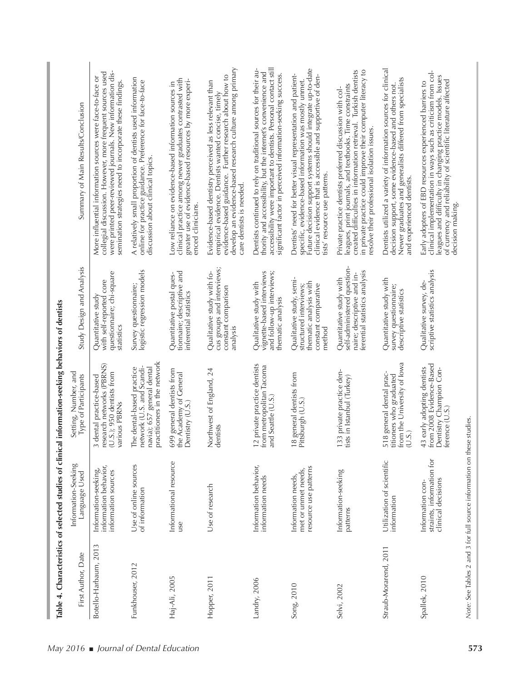|                       |                                                                        | Table 4. Characteristics of selected studies of clinical information-seeking behaviors of dentists                  |                                                                                                                       |                                                                                                                                                                                                                                                                                                         |
|-----------------------|------------------------------------------------------------------------|---------------------------------------------------------------------------------------------------------------------|-----------------------------------------------------------------------------------------------------------------------|---------------------------------------------------------------------------------------------------------------------------------------------------------------------------------------------------------------------------------------------------------------------------------------------------------|
| First Author, Date    | Information-Seeking<br>Language Used                                   | Setting, Number, and<br>Type of Participants                                                                        | Study Design and Analysis                                                                                             | Summary of Main Results/Conclusion                                                                                                                                                                                                                                                                      |
| Botello-Harbaum, 2013 | information behavior,<br>Information-seeking,<br>information sources   | research networks (PBRNS)<br>$(U.5.);$ 950 dentists from<br>3 dental practice-based<br>various PBRNs                | questionnaire; chi-square<br>with self-reported core<br>Quantitative study<br>statistics                              | collegial discussion. However, more frequent sources used<br>were printed peer-reviewed journals. New information dis-<br>More influential information sources were face-to-face or<br>semination strategies need to incorporate these findings.                                                        |
| Funkhouser, 2012      | Use of online sources<br>of information                                | navia); 657 general dental<br>practitioners in the network<br>The dental-based practice<br>network (U.S. and Scandi | logistic regression models<br>Survey questionnaire;                                                                   | A relatively small proportion of dentists used information<br>online for practice guidance. Preference for face-to-face<br>discussion about clinical topics.                                                                                                                                            |
| Haj-Ali, 2005         | Informational resource<br>use                                          | 699 general dentists from<br>the Academy of General<br>Dentistry (U.S.)                                             | tionnaire; descriptive and<br>Quantitative postal ques-<br>inferential statistics                                     | clinical practice among newer graduates contrasted with<br>greater use of evidence-based resources by more experi-<br>Low reliance on evidence-based information sources in<br>enced clinicians.                                                                                                        |
| Hopper, 2011          | Use of research                                                        | Northwest of England, 24<br>dentists                                                                                | cus groups and interviews;<br>Qualitative study with fo-<br>constant comparison<br>analysis                           | develop an evidence-based research culture among primary<br>Further research about how to<br>Evidence-based dentistry perceived as less relevant than<br>empirical evidence. Dentists wanted concise, timely<br>evidence-based guidance.<br>care dentists is needed.                                    |
| Landry, 2006          | Information behavior,<br>information needs                             | 12 private practice dentists<br>from metropolitan Tacoma<br>and Seattle (U.S.)                                      | vignette-based interviews<br>and follow-up interviews;<br>Qualitative study with<br>thematic analysis                 | accessibility were important to dentists. Personal contact still<br>Dentists continued to rely on traditional sources for their au-<br>thority and accessibility, but the internet's convenience and<br>significant factor in perceived information-seeking success.                                    |
| Song, 2010            | resource use patterns<br>met or unmet needs,<br>Information needs,     | 18 general dentists from<br>Pittsburgh $(U.S.)$                                                                     | Qualitative study, semi-<br>thematic analysis with<br>constant comparative<br>structured interviews;<br>method        | Future decision support systems should integrate up-to-date<br>Dentists' need for better visual representation and patient-<br>clinical evidence that is accessible and supportive of den-<br>specific, evidence-based information was mostly unmet.<br>tists' resource use patterns.                   |
| Selvi, 2002           | Information-seeking<br>patterns                                        | 133 private practice den-<br>tists in Istanbul (Turkey)                                                             | self-administered question-<br>ferential statistics analysis<br>naire; descriptive and in-<br>Quantitative study with | created difficulties in information retrieval. Turkish dentists<br>in private practice could improve their computer literacy to<br>leagues, print journals, and textbooks. Time constraints<br>Private practice dentists preferred discussion with col-<br>resolve their professional isolation issues. |
| Straub-Morarend, 2011 | Utilization of scientific<br>information                               | titioners who graduated<br>from the University of Iowa<br>518 general dental prac-<br>(U.S.)                        | Quantitative study with<br>survey questionnaire;<br>descriptive statistics                                            | Dentists utilized a variety of information sources for clinical<br>Newer graduates and generalists differed from specialists<br>decision support, some evidence-based and others not<br>and experienced dentists.                                                                                       |
| Spallek, 2010         | straints, information for<br>clinical decisions<br>Information con-    | from 2008 Evidence-Based<br>43 early adopting dentists<br>Dentistry Champion Con-<br>ference (U.S.)                 | scriptive statistics analysis<br>Qualitative survey, de-                                                              | clinical implementation in ways such as criticism from col-<br>leagues and difficulty in changing practice models. Issues<br>of currency and reliability of scientific literature affected<br>Early adopters of EBD resources experienced barriers to<br>decision making                                |
|                       | Note: See Tables 2 and 3 for full source information on these studies. |                                                                                                                     |                                                                                                                       |                                                                                                                                                                                                                                                                                                         |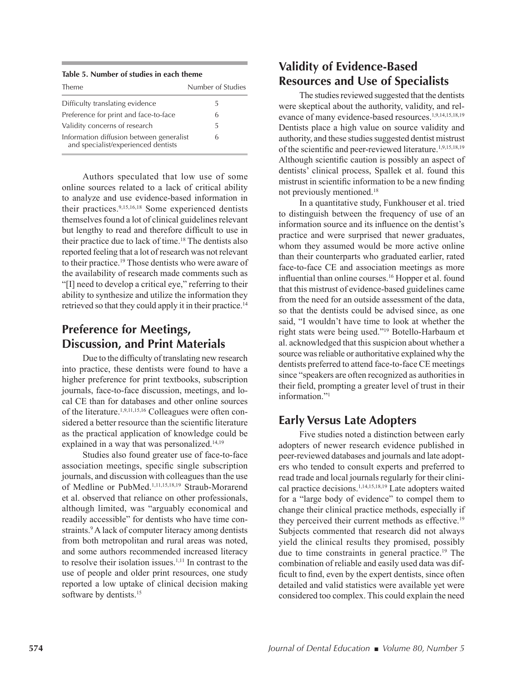**Table 5. Number of studies in each theme**

| <b>Theme</b>                                                                    | Number of Studies |
|---------------------------------------------------------------------------------|-------------------|
| Difficulty translating evidence                                                 | 5                 |
| Preference for print and face-to-face                                           | 6                 |
| Validity concerns of research                                                   | 5                 |
| Information diffusion between generalist<br>and specialist/experienced dentists | 6                 |

Authors speculated that low use of some online sources related to a lack of critical ability to analyze and use evidence-based information in their practices.9,15,16,18 Some experienced dentists themselves found a lot of clinical guidelines relevant but lengthy to read and therefore difficult to use in their practice due to lack of time.18 The dentists also reported feeling that a lot of research was not relevant to their practice.19 Those dentists who were aware of the availability of research made comments such as "[I] need to develop a critical eye," referring to their ability to synthesize and utilize the information they retrieved so that they could apply it in their practice.14

#### **Preference for Meetings, Discussion, and Print Materials**

Due to the difficulty of translating new research into practice, these dentists were found to have a higher preference for print textbooks, subscription journals, face-to-face discussion, meetings, and local CE than for databases and other online sources of the literature.1,9,11,15,16 Colleagues were often considered a better resource than the scientific literature as the practical application of knowledge could be explained in a way that was personalized.<sup>14,19</sup>

Studies also found greater use of face-to-face association meetings, specific single subscription journals, and discussion with colleagues than the use of Medline or PubMed.1,11,15,18,19 Straub-Morarend et al. observed that reliance on other professionals, although limited, was "arguably economical and readily accessible" for dentists who have time constraints.<sup>9</sup> A lack of computer literacy among dentists from both metropolitan and rural areas was noted, and some authors recommended increased literacy to resolve their isolation issues.<sup>1,11</sup> In contrast to the use of people and older print resources, one study reported a low uptake of clinical decision making software by dentists.<sup>15</sup>

### **Validity of Evidence-Based Resources and Use of Specialists**

The studies reviewed suggested that the dentists were skeptical about the authority, validity, and relevance of many evidence-based resources.1,9,14,15,18,19 Dentists place a high value on source validity and authority, and these studies suggested dentist mistrust of the scientific and peer-reviewed literature.1,9,15,18,19 Although scientific caution is possibly an aspect of dentists' clinical process, Spallek et al. found this mistrust in scientific information to be a new finding not previously mentioned.18

In a quantitative study, Funkhouser et al. tried to distinguish between the frequency of use of an information source and its influence on the dentist's practice and were surprised that newer graduates, whom they assumed would be more active online than their counterparts who graduated earlier, rated face-to-face CE and association meetings as more influential than online courses.16 Hopper et al. found that this mistrust of evidence-based guidelines came from the need for an outside assessment of the data, so that the dentists could be advised since, as one said, "I wouldn't have time to look at whether the right stats were being used."19 Botello-Harbaum et al. acknowledged that this suspicion about whether a source was reliable or authoritative explained why the dentists preferred to attend face-to-face CE meetings since "speakers are often recognized as authorities in their field, prompting a greater level of trust in their information."1

### **Early Versus Late Adopters**

Five studies noted a distinction between early adopters of newer research evidence published in peer-reviewed databases and journals and late adopters who tended to consult experts and preferred to read trade and local journals regularly for their clinical practice decisions.1,14,15,18,19 Late adopters waited for a "large body of evidence" to compel them to change their clinical practice methods, especially if they perceived their current methods as effective.<sup>19</sup> Subjects commented that research did not always yield the clinical results they promised, possibly due to time constraints in general practice.19 The combination of reliable and easily used data was difficult to find, even by the expert dentists, since often detailed and valid statistics were available yet were considered too complex. This could explain the need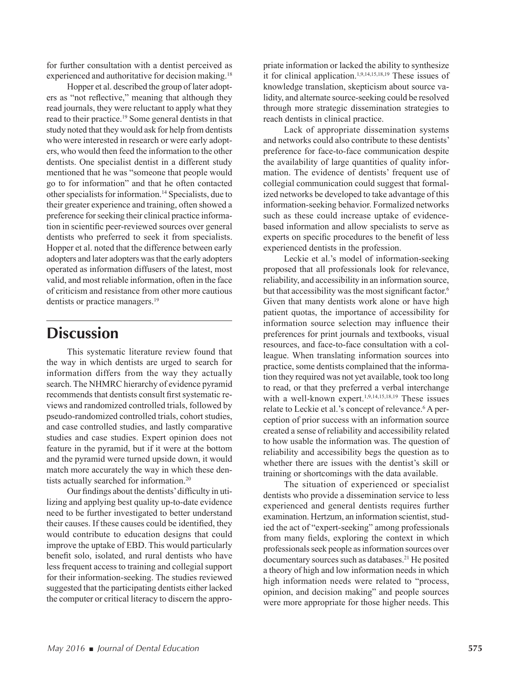for further consultation with a dentist perceived as experienced and authoritative for decision making.<sup>18</sup>

Hopper et al. described the group of later adopters as "not reflective," meaning that although they read journals, they were reluctant to apply what they read to their practice.19 Some general dentists in that study noted that they would ask for help from dentists who were interested in research or were early adopters, who would then feed the information to the other dentists. One specialist dentist in a different study mentioned that he was "someone that people would go to for information" and that he often contacted other specialists for information.14 Specialists, due to their greater experience and training, often showed a preference for seeking their clinical practice information in scientific peer-reviewed sources over general dentists who preferred to seek it from specialists. Hopper et al. noted that the difference between early adopters and later adopters was that the early adopters operated as information diffusers of the latest, most valid, and most reliable information, often in the face of criticism and resistance from other more cautious dentists or practice managers.<sup>19</sup>

# **Discussion**

This systematic literature review found that the way in which dentists are urged to search for information differs from the way they actually search. The NHMRC hierarchy of evidence pyramid recommends that dentists consult first systematic reviews and randomized controlled trials, followed by pseudo-randomized controlled trials, cohort studies, and case controlled studies, and lastly comparative studies and case studies. Expert opinion does not feature in the pyramid, but if it were at the bottom and the pyramid were turned upside down, it would match more accurately the way in which these dentists actually searched for information.20

Our findings about the dentists' difficulty in utilizing and applying best quality up-to-date evidence need to be further investigated to better understand their causes. If these causes could be identified, they would contribute to education designs that could improve the uptake of EBD. This would particularly benefit solo, isolated, and rural dentists who have less frequent access to training and collegial support for their information-seeking. The studies reviewed suggested that the participating dentists either lacked the computer or critical literacy to discern the appro-

priate information or lacked the ability to synthesize it for clinical application.1,9,14,15,18,19 These issues of knowledge translation, skepticism about source validity, and alternate source-seeking could be resolved through more strategic dissemination strategies to reach dentists in clinical practice.

Lack of appropriate dissemination systems and networks could also contribute to these dentists' preference for face-to-face communication despite the availability of large quantities of quality information. The evidence of dentists' frequent use of collegial communication could suggest that formalized networks be developed to take advantage of this information-seeking behavior. Formalized networks such as these could increase uptake of evidencebased information and allow specialists to serve as experts on specific procedures to the benefit of less experienced dentists in the profession.

Leckie et al.'s model of information-seeking proposed that all professionals look for relevance, reliability, and accessibility in an information source, but that accessibility was the most significant factor.<sup>6</sup> Given that many dentists work alone or have high patient quotas, the importance of accessibility for information source selection may influence their preferences for print journals and textbooks, visual resources, and face-to-face consultation with a colleague. When translating information sources into practice, some dentists complained that the information they required was not yet available, took too long to read, or that they preferred a verbal interchange with a well-known expert.<sup>1,9,14,15,18,19</sup> These issues relate to Leckie et al.'s concept of relevance.<sup>6</sup> A perception of prior success with an information source created a sense of reliability and accessibility related to how usable the information was. The question of reliability and accessibility begs the question as to whether there are issues with the dentist's skill or training or shortcomings with the data available.

The situation of experienced or specialist dentists who provide a dissemination service to less experienced and general dentists requires further examination. Hertzum, an information scientist, studied the act of "expert-seeking" among professionals from many fields, exploring the context in which professionals seek people as information sources over documentary sources such as databases.<sup>21</sup> He posited a theory of high and low information needs in which high information needs were related to "process, opinion, and decision making" and people sources were more appropriate for those higher needs. This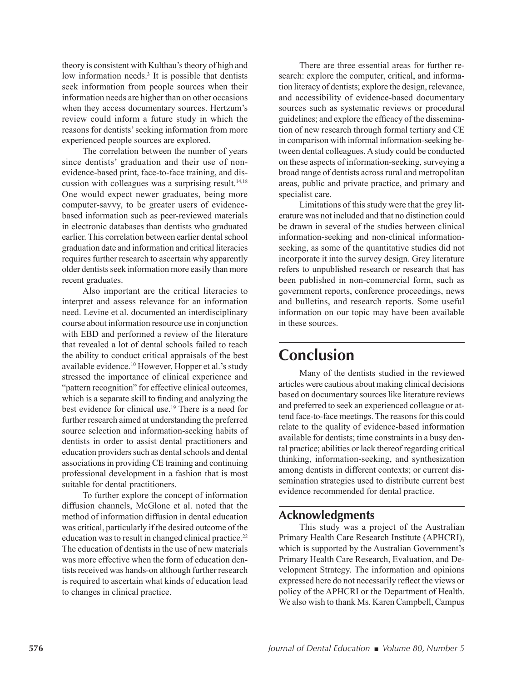theory is consistent with Kulthau's theory of high and low information needs.<sup>3</sup> It is possible that dentists seek information from people sources when their information needs are higher than on other occasions when they access documentary sources. Hertzum's review could inform a future study in which the reasons for dentists' seeking information from more experienced people sources are explored.

The correlation between the number of years since dentists' graduation and their use of nonevidence-based print, face-to-face training, and discussion with colleagues was a surprising result.<sup>14,18</sup> One would expect newer graduates, being more computer-savvy, to be greater users of evidencebased information such as peer-reviewed materials in electronic databases than dentists who graduated earlier. This correlation between earlier dental school graduation date and information and critical literacies requires further research to ascertain why apparently older dentists seek information more easily than more recent graduates.

Also important are the critical literacies to interpret and assess relevance for an information need. Levine et al. documented an interdisciplinary course about information resource use in conjunction with EBD and performed a review of the literature that revealed a lot of dental schools failed to teach the ability to conduct critical appraisals of the best available evidence.10 However, Hopper et al.'s study stressed the importance of clinical experience and "pattern recognition" for effective clinical outcomes, which is a separate skill to finding and analyzing the best evidence for clinical use.19 There is a need for further research aimed at understanding the preferred source selection and information-seeking habits of dentists in order to assist dental practitioners and education providers such as dental schools and dental associations in providing CE training and continuing professional development in a fashion that is most suitable for dental practitioners.

To further explore the concept of information diffusion channels, McGlone et al. noted that the method of information diffusion in dental education was critical, particularly if the desired outcome of the education was to result in changed clinical practice.<sup>22</sup> The education of dentists in the use of new materials was more effective when the form of education dentists received was hands-on although further research is required to ascertain what kinds of education lead to changes in clinical practice.

There are three essential areas for further research: explore the computer, critical, and information literacy of dentists; explore the design, relevance, and accessibility of evidence-based documentary sources such as systematic reviews or procedural guidelines; and explore the efficacy of the dissemination of new research through formal tertiary and CE in comparison with informal information-seeking between dental colleagues. A study could be conducted on these aspects of information-seeking, surveying a broad range of dentists across rural and metropolitan areas, public and private practice, and primary and specialist care.

Limitations of this study were that the grey literature was not included and that no distinction could be drawn in several of the studies between clinical information-seeking and non-clinical informationseeking, as some of the quantitative studies did not incorporate it into the survey design. Grey literature refers to unpublished research or research that has been published in non-commercial form, such as government reports, conference proceedings, news and bulletins, and research reports. Some useful information on our topic may have been available in these sources.

# **Conclusion**

Many of the dentists studied in the reviewed articles were cautious about making clinical decisions based on documentary sources like literature reviews and preferred to seek an experienced colleague or attend face-to-face meetings. The reasons for this could relate to the quality of evidence-based information available for dentists; time constraints in a busy dental practice; abilities or lack thereof regarding critical thinking, information-seeking, and synthesization among dentists in different contexts; or current dissemination strategies used to distribute current best evidence recommended for dental practice.

#### **Acknowledgments**

This study was a project of the Australian Primary Health Care Research Institute (APHCRI), which is supported by the Australian Government's Primary Health Care Research, Evaluation, and Development Strategy. The information and opinions expressed here do not necessarily reflect the views or policy of the APHCRI or the Department of Health. We also wish to thank Ms. Karen Campbell, Campus